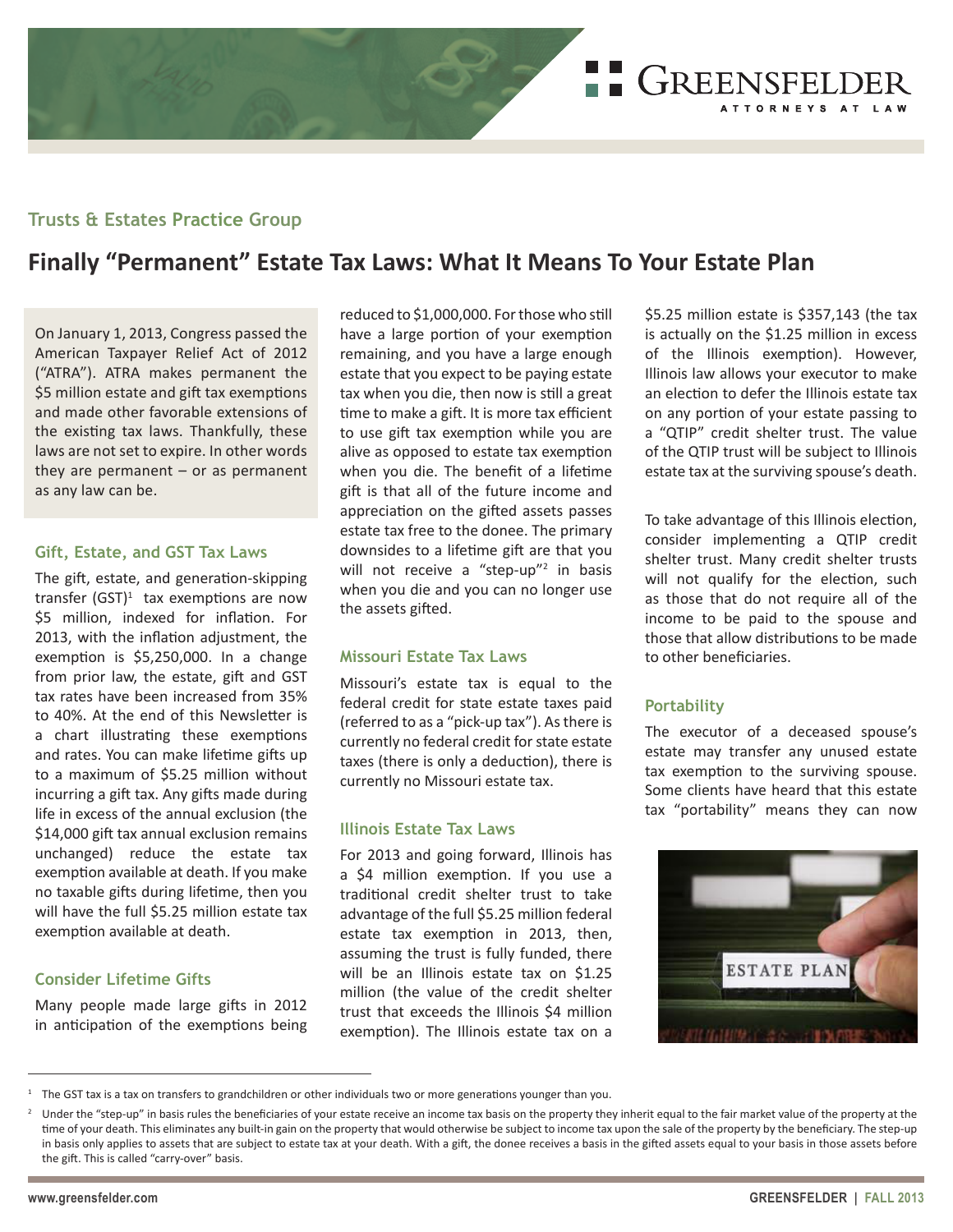

# **Trusts & Estates Practice Group**

# **Finally "Permanent" Estate Tax Laws: What It Means To Your Estate Plan**

On January 1, 2013, Congress passed the American Taxpayer Relief Act of 2012 ("ATRA"). ATRA makes permanent the \$5 million estate and gift tax exemptions and made other favorable extensions of the existing tax laws. Thankfully, these laws are not set to expire. In other words they are permanent  $-$  or as permanent as any law can be.

#### **Gift, Estate, and GST Tax Laws**

The gift, estate, and generation-skipping transfer  $(GST)^1$  tax exemptions are now \$5 million, indexed for inflation. For 2013, with the inflation adjustment, the exemption is \$5,250,000. In a change from prior law, the estate, gift and GST tax rates have been increased from 35% to 40%. At the end of this Newsletter is a chart illustrating these exemptions and rates. You can make lifetime gifts up to a maximum of \$5.25 million without incurring a gift tax. Any gifts made during life in excess of the annual exclusion (the \$14,000 gift tax annual exclusion remains unchanged) reduce the estate tax exemption available at death. If you make no taxable gifts during lifetime, then you will have the full \$5.25 million estate tax exemption available at death.

## **Consider Lifetime Gifts**

Many people made large gifts in 2012 in anticipation of the exemptions being reduced to \$1,000,000. For those who still have a large portion of your exemption remaining, and you have a large enough estate that you expect to be paying estate tax when you die, then now is still a great time to make a gift. It is more tax efficient to use gift tax exemption while you are alive as opposed to estate tax exemption when you die. The benefit of a lifetime gift is that all of the future income and appreciation on the gifted assets passes estate tax free to the donee. The primary downsides to a lifetime gift are that you will not receive a "step-up"<sup>2</sup> in basis when you die and you can no longer use the assets gifted.

#### **Missouri Estate Tax Laws**

Missouri's estate tax is equal to the federal credit for state estate taxes paid (referred to as a "pick-up tax"). As there is currently no federal credit for state estate taxes (there is only a deduction), there is currently no Missouri estate tax.

#### **Illinois Estate Tax Laws**

For 2013 and going forward, Illinois has a \$4 million exemption. If you use a traditional credit shelter trust to take advantage of the full \$5.25 million federal estate tax exemption in 2013, then, assuming the trust is fully funded, there will be an Illinois estate tax on \$1.25 million (the value of the credit shelter trust that exceeds the Illinois \$4 million exemption). The Illinois estate tax on a

\$5.25 million estate is \$357,143 (the tax is actually on the \$1.25 million in excess of the Illinois exemption). However, Illinois law allows your executor to make an election to defer the Illinois estate tax on any portion of your estate passing to a "QTIP" credit shelter trust. The value of the QTIP trust will be subject to Illinois estate tax at the surviving spouse's death.

To take advantage of this Illinois election, consider implementing a QTIP credit shelter trust. Many credit shelter trusts will not qualify for the election, such as those that do not require all of the income to be paid to the spouse and those that allow distributions to be made to other beneficiaries.

## **Portability**

The executor of a deceased spouse's estate may transfer any unused estate tax exemption to the surviving spouse. Some clients have heard that this estate tax "portability" means they can now



 $1$  The GST tax is a tax on transfers to grandchildren or other individuals two or more generations younger than you.

<sup>&</sup>lt;sup>2</sup> Under the "step-up" in basis rules the beneficiaries of your estate receive an income tax basis on the property they inherit equal to the fair market value of the property at the time of your death. This eliminates any built-in gain on the property that would otherwise be subject to income tax upon the sale of the property by the beneficiary. The step-up in basis only applies to assets that are subject to estate tax at your death. With a gift, the donee receives a basis in the gifted assets equal to your basis in those assets before the gift. This is called "carry-over" basis.